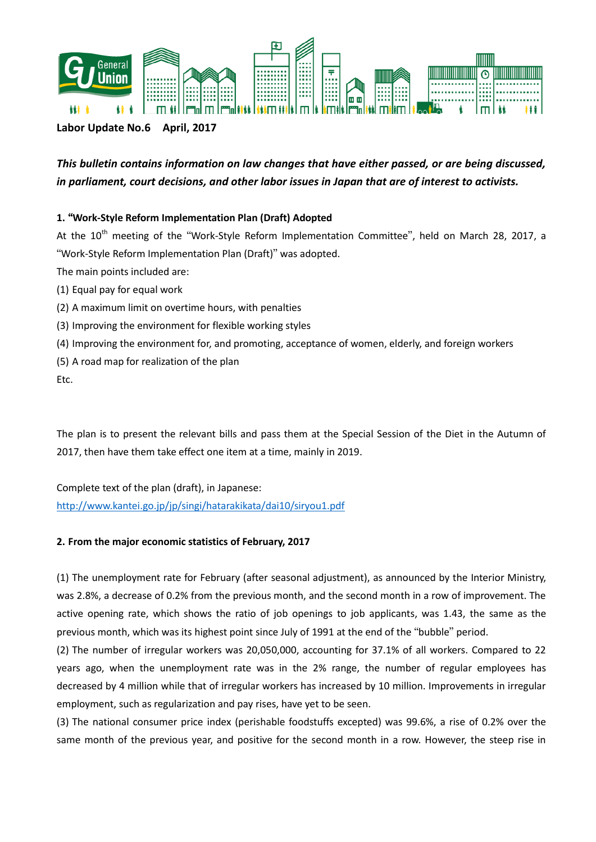

### **Labor Update No.6 April, 2017**

# *This bulletin contains information on law changes that have either passed, or are being discussed, in parliament, court decisions, and other labor issues in Japan that are of interest to activists.*

### **1.** "**Work-Style Reform Implementation Plan (Draft) Adopted**

At the 10<sup>th</sup> meeting of the "Work-Style Reform Implementation Committee", held on March 28, 2017, a "Work-Style Reform Implementation Plan (Draft)" was adopted. The main points included are:

- (1) Equal pay for equal work
- (2) A maximum limit on overtime hours, with penalties
- (3) Improving the environment for flexible working styles
- (4) Improving the environment for, and promoting, acceptance of women, elderly, and foreign workers
- (5) A road map for realization of the plan

Etc.

The plan is to present the relevant bills and pass them at the Special Session of the Diet in the Autumn of 2017, then have them take effect one item at a time, mainly in 2019.

Complete text of the plan (draft), in Japanese: <http://www.kantei.go.jp/jp/singi/hatarakikata/dai10/siryou1.pdf>

#### **2. From the major economic statistics of February, 2017**

(1) The unemployment rate for February (after seasonal adjustment), as announced by the Interior Ministry, was 2.8%, a decrease of 0.2% from the previous month, and the second month in a row of improvement. The active opening rate, which shows the ratio of job openings to job applicants, was 1.43, the same as the previous month, which was its highest point since July of 1991 at the end of the "bubble" period.

(2) The number of irregular workers was 20,050,000, accounting for 37.1% of all workers. Compared to 22 years ago, when the unemployment rate was in the 2% range, the number of regular employees has decreased by 4 million while that of irregular workers has increased by 10 million. Improvements in irregular employment, such as regularization and pay rises, have yet to be seen.

(3) The national consumer price index (perishable foodstuffs excepted) was 99.6%, a rise of 0.2% over the same month of the previous year, and positive for the second month in a row. However, the steep rise in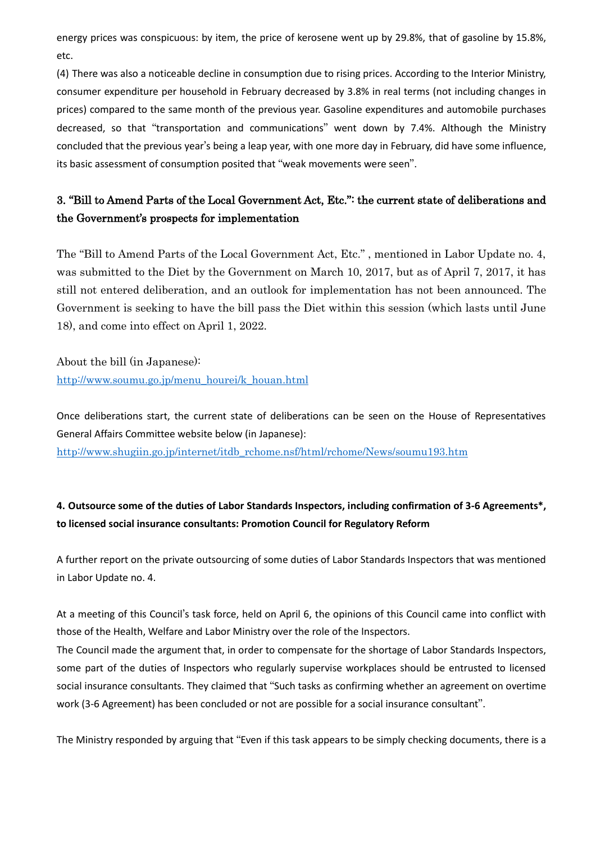energy prices was conspicuous: by item, the price of kerosene went up by 29.8%, that of gasoline by 15.8%, etc.

(4) There was also a noticeable decline in consumption due to rising prices. According to the Interior Ministry, consumer expenditure per household in February decreased by 3.8% in real terms (not including changes in prices) compared to the same month of the previous year. Gasoline expenditures and automobile purchases decreased, so that "transportation and communications" went down by 7.4%. Although the Ministry concluded that the previous year's being a leap year, with one more day in February, did have some influence, its basic assessment of consumption posited that "weak movements were seen".

# 3. "Bill to Amend Parts of the Local Government Act, Etc.": the current state of deliberations and the Government's prospects for implementation

The "Bill to Amend Parts of the Local Government Act, Etc." , mentioned in Labor Update no. 4, was submitted to the Diet by the Government on March 10, 2017, but as of April 7, 2017, it has still not entered deliberation, and an outlook for implementation has not been announced. The Government is seeking to have the bill pass the Diet within this session (which lasts until June 18), and come into effect on April 1, 2022.

About the bill (in Japanese): [http://www.soumu.go.jp/menu\\_hourei/k\\_houan.html](http://www.soumu.go.jp/menu_hourei/k_houan.html)

Once deliberations start, the current state of deliberations can be seen on the House of Representatives General Affairs Committee website below (in Japanese):

[http://www.shugiin.go.jp/internet/itdb\\_rchome.nsf/html/rchome/News/soumu193.htm](http://www.shugiin.go.jp/internet/itdb_rchome.nsf/html/rchome/News/soumu193.htm)

## **4. Outsource some of the duties of Labor Standards Inspectors, including confirmation of 3-6 Agreements\*, to licensed social insurance consultants: Promotion Council for Regulatory Reform**

A further report on the private outsourcing of some duties of Labor Standards Inspectors that was mentioned in Labor Update no. 4.

At a meeting of this Council's task force, held on April 6, the opinions of this Council came into conflict with those of the Health, Welfare and Labor Ministry over the role of the Inspectors.

The Council made the argument that, in order to compensate for the shortage of Labor Standards Inspectors, some part of the duties of Inspectors who regularly supervise workplaces should be entrusted to licensed social insurance consultants. They claimed that "Such tasks as confirming whether an agreement on overtime work (3-6 Agreement) has been concluded or not are possible for a social insurance consultant".

The Ministry responded by arguing that "Even if this task appears to be simply checking documents, there is a